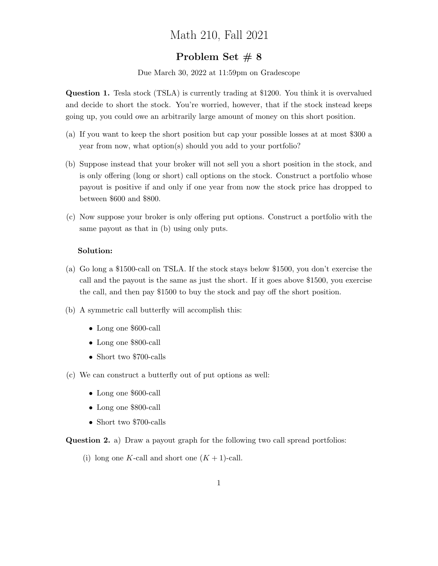## Math 210, Fall 2021

## Problem Set  $\# 8$

Due March 30, 2022 at 11:59pm on Gradescope

Question 1. Tesla stock (TSLA) is currently trading at \$1200. You think it is overvalued and decide to short the stock. You're worried, however, that if the stock instead keeps going up, you could owe an arbitrarily large amount of money on this short position.

- (a) If you want to keep the short position but cap your possible losses at at most \$300 a year from now, what option(s) should you add to your portfolio?
- (b) Suppose instead that your broker will not sell you a short position in the stock, and is only offering (long or short) call options on the stock. Construct a portfolio whose payout is positive if and only if one year from now the stock price has dropped to between \$600 and \$800.
- (c) Now suppose your broker is only offering put options. Construct a portfolio with the same payout as that in (b) using only puts.

## Solution:

- (a) Go long a \$1500-call on TSLA. If the stock stays below \$1500, you don't exercise the call and the payout is the same as just the short. If it goes above \$1500, you exercise the call, and then pay \$1500 to buy the stock and pay off the short position.
- (b) A symmetric call butterfly will accomplish this:
	- Long one \$600-call
	- Long one \$800-call
	- Short two \$700-calls
- (c) We can construct a butterfly out of put options as well:
	- Long one \$600-call
	- Long one \$800-call
	- Short two \$700-calls

Question 2. a) Draw a payout graph for the following two call spread portfolios:

(i) long one K-call and short one  $(K + 1)$ -call.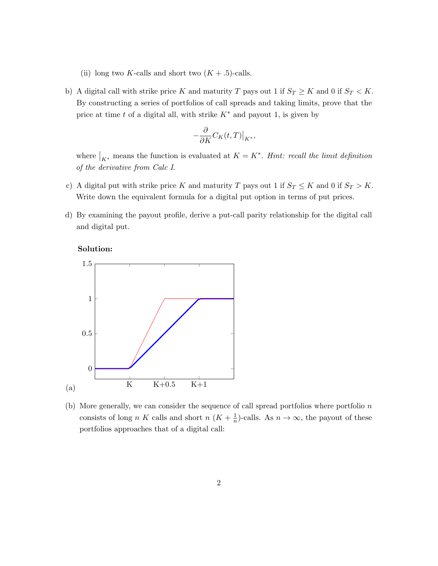- (ii) long two K-calls and short two  $(K + .5)$ -calls.
- b) A digital call with strike price K and maturity T pays out 1 if  $S_T \ge K$  and 0 if  $S_T < K$ . By constructing a series of portfolios of call spreads and taking limits, prove that the price at time t of a digital all, with strike  $K^*$  and payout 1, is given by

$$
-\frac{\partial}{\partial K}C_K(t,T)\big|_{K^*},
$$

where  $\big|_{K^*}$  means the function is evaluated at  $K = K^*$ . Hint: recall the limit definition of the derivative from Calc I.

- c) A digital put with strike price K and maturity T pays out 1 if  $S_T \le K$  and 0 if  $S_T > K$ . Write down the equivalent formula for a digital put option in terms of put prices.
- d) By examining the payout profile, derive a put-call parity relationship for the digital call and digital put.





(b) More generally, we can consider the sequence of call spread portfolios where portfolio  $n$ consists of long n K calls and short n  $(K + \frac{1}{n})$  $\frac{1}{n}$ )-calls. As  $n \to \infty$ , the payout of these portfolios approaches that of a digital call: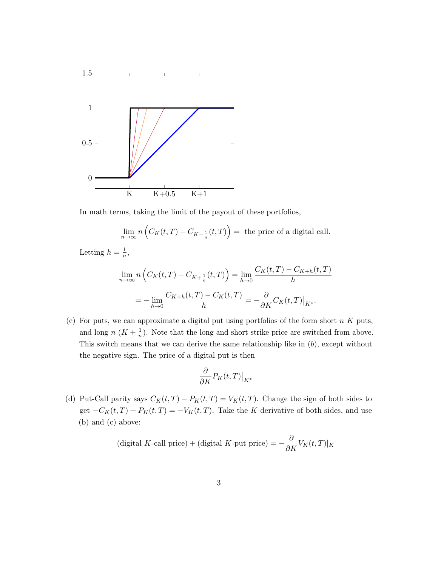

In math terms, taking the limit of the payout of these portfolios,

$$
\lim_{n \to \infty} n \left( C_K(t, T) - C_{K + \frac{1}{n}}(t, T) \right) = \text{ the price of a digital call.}
$$

Letting  $h=\frac{1}{n}$  $\frac{1}{n}$ ,

$$
\lim_{n \to \infty} n \left( C_K(t, T) - C_{K + \frac{1}{n}}(t, T) \right) = \lim_{h \to 0} \frac{C_K(t, T) - C_{K + h}(t, T)}{h}
$$

$$
= - \lim_{h \to 0} \frac{C_{K + h}(t, T) - C_K(t, T)}{h} = - \frac{\partial}{\partial K} C_K(t, T)|_{K^*}.
$$

(c) For puts, we can approximate a digital put using portfolios of the form short  $n K$  puts, and long  $n(K+\frac{1}{n})$  $\frac{1}{n}$ ). Note that the long and short strike price are switched from above. This switch means that we can derive the same relationship like in  $(b)$ , except without the negative sign. The price of a digital put is then

$$
\frac{\partial}{\partial K} P_K(t, T)|_{K^*}
$$

(d) Put-Call parity says  $C_K(t,T) - P_K(t,T) = V_K(t,T)$ . Change the sign of both sides to get  $-C_K(t,T) + P_K(t,T) = -V_K(t,T)$ . Take the K derivative of both sides, and use (b) and (c) above:

(digital K-call price) + (digital K-put price) = 
$$
-\frac{\partial}{\partial K}V_K(t,T)|_K
$$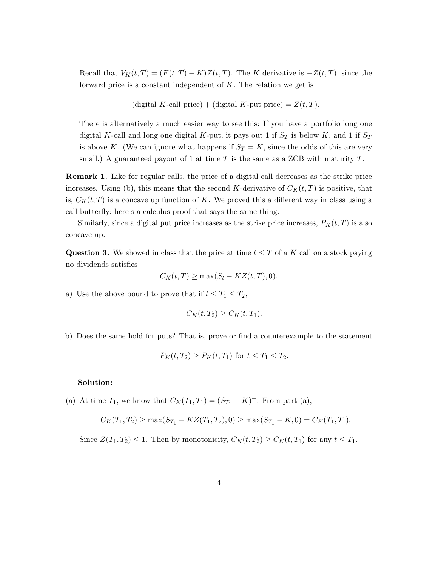Recall that  $V_K(t,T) = (F(t,T) - K)Z(t,T)$ . The K derivative is  $-Z(t,T)$ , since the forward price is a constant independent of  $K$ . The relation we get is

(digital K-call price) + (digital K-put price) =  $Z(t,T)$ .

There is alternatively a much easier way to see this: If you have a portfolio long one digital K-call and long one digital K-put, it pays out 1 if  $S_T$  is below K, and 1 if  $S_T$ is above K. (We can ignore what happens if  $S_T = K$ , since the odds of this are very small.) A guaranteed payout of 1 at time  $T$  is the same as a ZCB with maturity  $T$ .

Remark 1. Like for regular calls, the price of a digital call decreases as the strike price increases. Using (b), this means that the second K-derivative of  $C<sub>K</sub>(t, T)$  is positive, that is,  $C_K(t,T)$  is a concave up function of K. We proved this a different way in class using a call butterfly; here's a calculus proof that says the same thing.

Similarly, since a digital put price increases as the strike price increases,  $P_K(t,T)$  is also concave up.

Question 3. We showed in class that the price at time  $t \leq T$  of a K call on a stock paying no dividends satisfies

$$
C_K(t,T) \ge \max(S_t - KZ(t,T), 0).
$$

a) Use the above bound to prove that if  $t \leq T_1 \leq T_2$ ,

$$
C_K(t, T_2) \ge C_K(t, T_1).
$$

b) Does the same hold for puts? That is, prove or find a counterexample to the statement

$$
P_K(t, T_2) \ge P_K(t, T_1) \text{ for } t \le T_1 \le T_2.
$$

## Solution:

(a) At time  $T_1$ , we know that  $C_K(T_1, T_1) = (S_{T_1} - K)^+$ . From part (a),

$$
C_K(T_1, T_2) \ge \max(S_{T_1} - KZ(T_1, T_2), 0) \ge \max(S_{T_1} - K, 0) = C_K(T_1, T_1),
$$

Since  $Z(T_1, T_2) \leq 1$ . Then by monotonicity,  $C_K(t, T_2) \geq C_K(t, T_1)$  for any  $t \leq T_1$ .